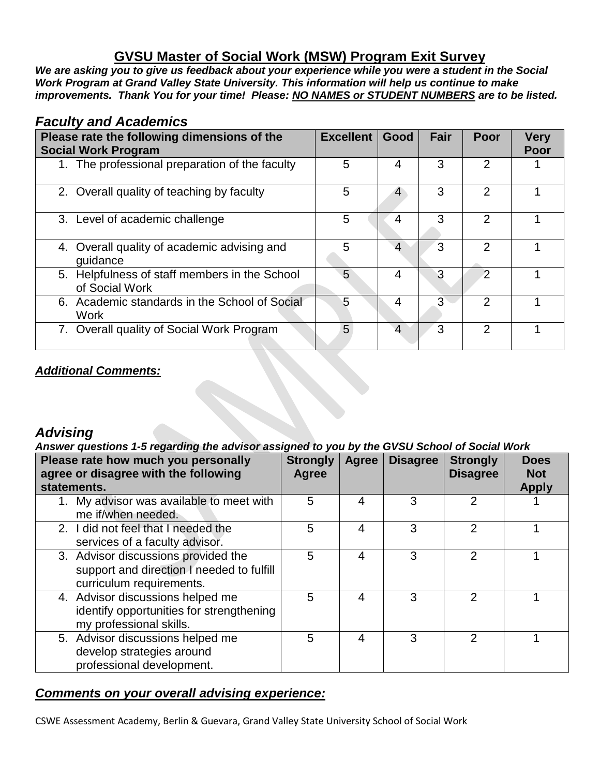## **GVSU Master of Social Work (MSW) Program Exit Survey**

*We are asking you to give us feedback about your experience while you were a student in the Social Work Program at Grand Valley State University. This information will help us continue to make improvements. Thank You for your time! Please: NO NAMES or STUDENT NUMBERS are to be listed.* 

#### *Faculty and Academics*

| Please rate the following dimensions of the<br><b>Social Work Program</b> | <b>Excellent</b> | Good | Fair | Poor           | <b>Very</b><br>Poor |
|---------------------------------------------------------------------------|------------------|------|------|----------------|---------------------|
| 1. The professional preparation of the faculty                            | 5                | 4    | 3    | 2              |                     |
| 2. Overall quality of teaching by faculty                                 | 5                |      | 3    | $\mathcal{P}$  |                     |
| 3. Level of academic challenge                                            | 5                | 4    | 3    | $\mathcal{P}$  |                     |
| 4. Overall quality of academic advising and<br>quidance                   | 5                | Δ    | 3    | $\mathcal{P}$  |                     |
| 5. Helpfulness of staff members in the School<br>of Social Work           | 5                | 4    | 3    | $\overline{2}$ |                     |
| 6. Academic standards in the School of Social<br><b>Work</b>              | 5                | 4    | 3    | $\mathcal{P}$  |                     |
| 7. Overall quality of Social Work Program                                 | 5                | Δ    | 3    | $\mathcal{P}$  |                     |

#### *Additional Comments:*

### *Advising*

#### *Answer questions 1-5 regarding the advisor assigned to you by the GVSU School of Social Work*

| Please rate how much you personally<br>agree or disagree with the following<br>statements.                   | <b>Strongly</b><br>Agree | <b>Agree</b> | <b>Disagree</b> | <b>Strongly</b><br><b>Disagree</b> | <b>Does</b><br><b>Not</b><br><b>Apply</b> |
|--------------------------------------------------------------------------------------------------------------|--------------------------|--------------|-----------------|------------------------------------|-------------------------------------------|
| 1. My advisor was available to meet with<br>me if/when needed.                                               | 5                        | 4            | 3               | 2                                  |                                           |
| 2. I did not feel that I needed the<br>services of a faculty advisor.                                        | 5                        | 4            | 3               | 2                                  |                                           |
| 3. Advisor discussions provided the<br>support and direction I needed to fulfill<br>curriculum requirements. | 5                        | 4            | 3               | 2                                  |                                           |
| 4. Advisor discussions helped me<br>identify opportunities for strengthening<br>my professional skills.      | 5                        | 4            | 3               | 2                                  |                                           |
| 5. Advisor discussions helped me<br>develop strategies around<br>professional development.                   | 5                        | 4            | 3               | 2                                  |                                           |

#### *Comments on your overall advising experience:*

CSWE Assessment Academy, Berlin & Guevara, Grand Valley State University School of Social Work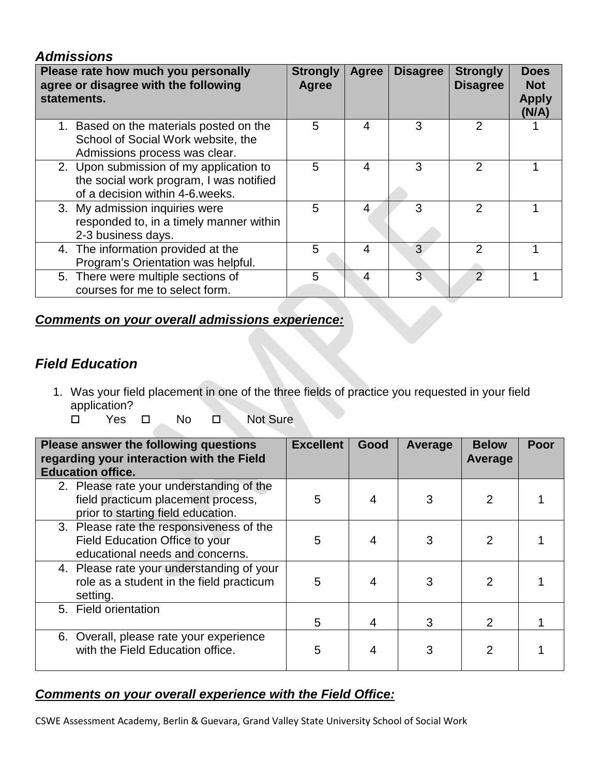#### *Admissions*

| Please rate how much you personally<br>agree or disagree with the following<br>statements.                            | <b>Strongly</b><br>Agree | Agree | <b>Disagree</b> | <b>Strongly</b><br><b>Disagree</b> | <b>Does</b><br><b>Not</b><br><b>Apply</b><br>(N/A) |
|-----------------------------------------------------------------------------------------------------------------------|--------------------------|-------|-----------------|------------------------------------|----------------------------------------------------|
| 1. Based on the materials posted on the<br>School of Social Work website, the<br>Admissions process was clear.        | 5                        | 4     | 3               | 2                                  |                                                    |
| 2. Upon submission of my application to<br>the social work program, I was notified<br>of a decision within 4-6 weeks. | 5                        | 4     | 3               | $\mathcal{P}$                      |                                                    |
| 3. My admission inquiries were<br>responded to, in a timely manner within<br>2-3 business days.                       | 5                        | 4     | 3               | 2                                  |                                                    |
| 4. The information provided at the<br>Program's Orientation was helpful.                                              | 5                        | 4     | 3               | 2                                  |                                                    |
| 5. There were multiple sections of<br>courses for me to select form.                                                  | 5                        | 4     | 3               | っ                                  |                                                    |

### *Comments on your overall admissions experience:*

## *Field Education*

- 1. Was your field placement in one of the three fields of practice you requested in your field application?
	- □ Yes □ No □ Not Sure

| Please answer the following questions<br>regarding your interaction with the Field<br><b>Education office.</b>       | <b>Excellent</b> | Good | Average | <b>Below</b><br>Average | Poor |
|----------------------------------------------------------------------------------------------------------------------|------------------|------|---------|-------------------------|------|
| 2. Please rate your understanding of the<br>field practicum placement process,<br>prior to starting field education. | 5                |      |         | 2                       |      |
| 3. Please rate the responsiveness of the<br>Field Education Office to your<br>educational needs and concerns.        | 5                |      | 3       | 2                       |      |
| 4. Please rate your understanding of your<br>role as a student in the field practicum<br>setting.                    | 5                |      |         | $\mathcal P$            |      |
| 5. Field orientation                                                                                                 | 5.               | 4    | 3       | $\overline{2}$          |      |
| 6. Overall, please rate your experience<br>with the Field Education office.                                          | 5                |      |         |                         |      |

#### *Comments on your overall experience with the Field Office:*

CSWE Assessment Academy, Berlin & Guevara, Grand Valley State University School of Social Work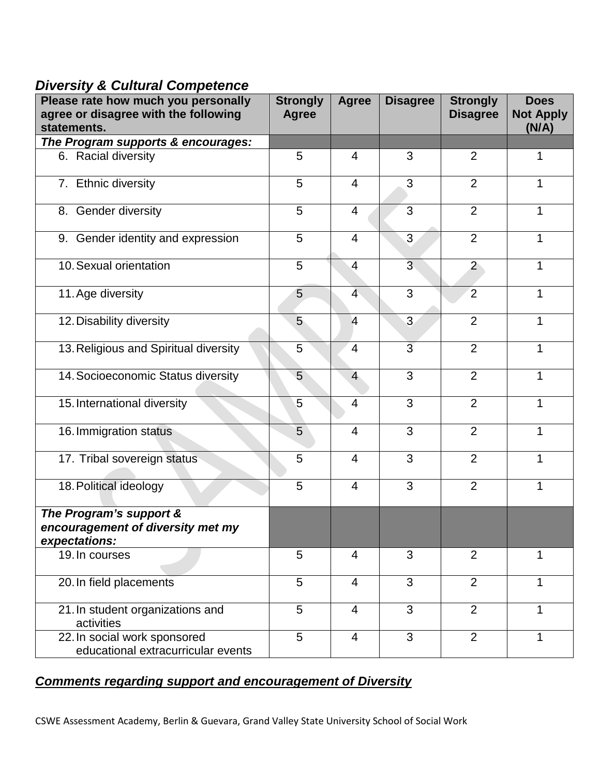## *Diversity & Cultural Competence*

| Please rate how much you personally                                           | <b>Strongly</b> | <b>Agree</b>   | <b>Disagree</b> | <b>Strongly</b> | <b>Does</b>               |
|-------------------------------------------------------------------------------|-----------------|----------------|-----------------|-----------------|---------------------------|
| agree or disagree with the following<br>statements.                           | <b>Agree</b>    |                |                 | <b>Disagree</b> | <b>Not Apply</b><br>(N/A) |
| The Program supports & encourages:                                            |                 |                |                 |                 |                           |
| 6. Racial diversity                                                           | 5               | $\overline{4}$ | 3               | $\overline{2}$  | 1                         |
| 7. Ethnic diversity                                                           | 5               | $\overline{4}$ | 3               | 2               | $\mathbf{1}$              |
| 8. Gender diversity                                                           | 5               | $\overline{4}$ | 3               | 2               | 1                         |
| 9. Gender identity and expression                                             | 5               | $\overline{4}$ | 3               | $\overline{2}$  | 1                         |
| 10. Sexual orientation                                                        | 5               | $\overline{4}$ | $\overline{3}$  | $\overline{2}$  | 1                         |
| 11. Age diversity                                                             | 5               | $\overline{4}$ | 3               | $\overline{2}$  | $\mathbf{1}$              |
| 12. Disability diversity                                                      | 5               | $\overline{4}$ | $\overline{3}$  | $\overline{2}$  | 1                         |
| 13. Religious and Spiritual diversity                                         | 5               | $\overline{4}$ | $\overline{3}$  | $\overline{2}$  | $\mathbf{1}$              |
| 14. Socioeconomic Status diversity                                            | 5               | $\overline{4}$ | 3               | 2               | $\mathbf{1}$              |
| 15. International diversity                                                   | 5               | $\overline{4}$ | 3               | $\overline{2}$  | $\mathbf{1}$              |
| 16. Immigration status                                                        | 5               | $\overline{4}$ | 3               | $\overline{2}$  | $\mathbf{1}$              |
| 17. Tribal sovereign status                                                   | 5               | $\overline{4}$ | 3               | $\overline{2}$  | 1                         |
| 18. Political ideology                                                        | 5               | $\overline{4}$ | 3               | 2               | 1                         |
| The Program's support &<br>encouragement of diversity met my<br>expectations: |                 |                |                 |                 |                           |
| 19. In courses                                                                | 5               | $\overline{4}$ | 3               | $\overline{2}$  | 1                         |
| 20. In field placements                                                       | 5               | $\overline{4}$ | 3               | 2               | $\mathbf{1}$              |
| 21. In student organizations and<br>activities                                | 5               | $\overline{4}$ | 3               | $\overline{2}$  | 1                         |
| 22. In social work sponsored<br>educational extracurricular events            | 5               | $\overline{4}$ | 3               | 2               | 1                         |

# *Comments regarding support and encouragement of Diversity*

CSWE Assessment Academy, Berlin & Guevara, Grand Valley State University School of Social Work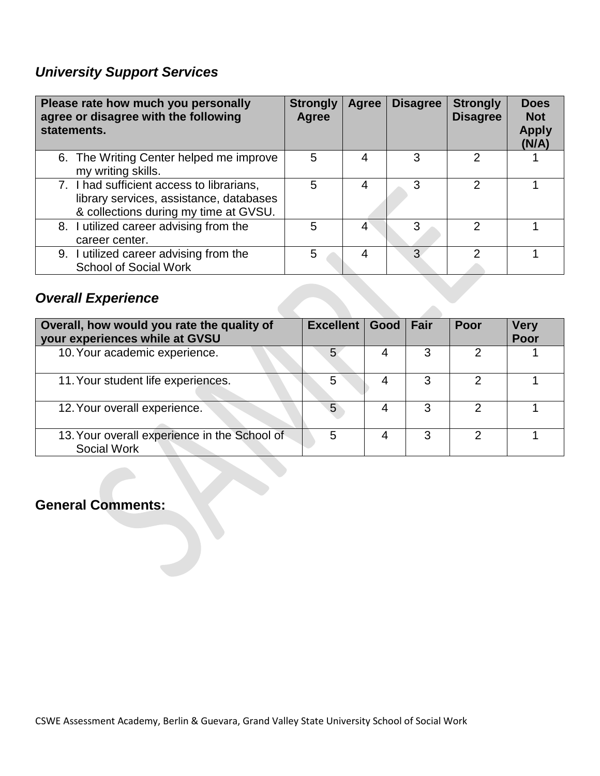# *University Support Services*

| Please rate how much you personally<br>agree or disagree with the following<br>statements.                                    | <b>Strongly</b><br>Agree | Agree | <b>Disagree</b> | <b>Strongly</b><br><b>Disagree</b> | <b>Does</b><br><b>Not</b><br><b>Apply</b><br>(N/A) |
|-------------------------------------------------------------------------------------------------------------------------------|--------------------------|-------|-----------------|------------------------------------|----------------------------------------------------|
| 6. The Writing Center helped me improve<br>my writing skills.                                                                 | 5                        | 4     | 3               | っ                                  |                                                    |
| 7. I had sufficient access to librarians,<br>library services, assistance, databases<br>& collections during my time at GVSU. | 5                        | 4     | 3               | 2                                  |                                                    |
| 8. I utilized career advising from the<br>career center.                                                                      | 5                        | 4     | 3               | 2                                  |                                                    |
| 9. I utilized career advising from the<br><b>School of Social Work</b>                                                        | 5                        | 4     | 3               | າ                                  |                                                    |

# *Overall Experience*

| Overall, how would you rate the quality of<br>your experiences while at GVSU | Excellent   Good   Fair |   | Poor | <b>Very</b><br>Poor |
|------------------------------------------------------------------------------|-------------------------|---|------|---------------------|
| 10. Your academic experience.                                                |                         |   |      |                     |
| 11. Your student life experiences.                                           | 5                       |   |      |                     |
| 12. Your overall experience.                                                 | 5                       | 3 | 2    |                     |
| 13. Your overall experience in the School of<br>Social Work                  | 5                       |   | ົ    |                     |

## **General Comments:**